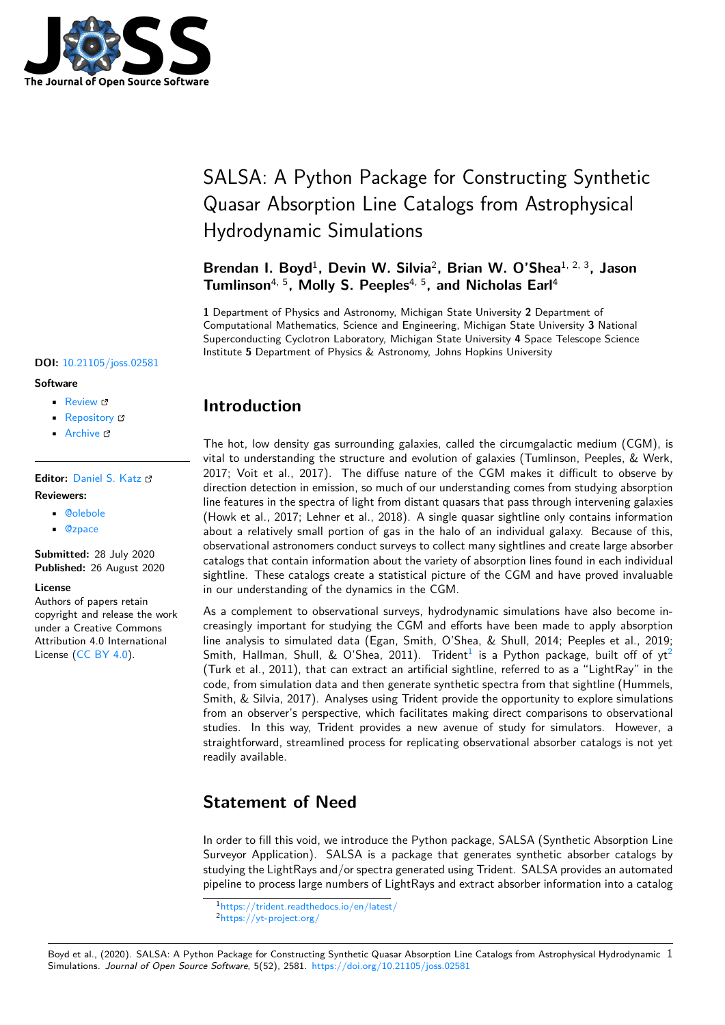

# SALSA: A Python Package for Constructing Synthetic Quasar Absorption Line Catalogs from Astrophysical Hydrodynamic Simulations

Brendan I. Boyd<sup>1</sup>, Devin W. Silvia<sup>2</sup>, Brian W. O'Shea<sup>1, 2, 3</sup>, Jason **Tumlinson**4, 5**, Molly S. Peeples**4, 5**, and Nicholas Earl**<sup>4</sup>

**1** Department of Physics and Astronomy, Michigan State University **2** Department of Computational Mathematics, Science and Engineering, Michigan State University **3** National Superconducting Cyclotron Laboratory, Michigan State University **4** Space Telescope Science Institute **5** Department of Physics & Astronomy, Johns Hopkins University

#### **DOI:** 10.21105/joss.02581

### **Software**

- Review C
- [Repository](https://doi.org/10.21105/joss.02581) &
- Archive

### **Editor:** [Daniel S.](https://github.com/biboyd/SALSA) Katz **Revie[wers:](https://doi.org/10.5281/zenodo.4002067)**

- @olebole
- @[zpace](http://danielskatz.org/)

**Submitted:** 28 July 2020 **Publi[shed:](https://github.com/olebole)** 26 August 2020

#### **Licen[se](https://github.com/zpace)**

Authors of papers retain copyright and release the work under a Creative Commons Attribution 4.0 International License (CC BY 4.0).

# **Introduction**

The hot, low density gas surrounding galaxies, called the circumgalactic medium (CGM), is vital to understanding the structure and evolution of galaxies (Tumlinson, Peeples, & Werk, 2017; Voit et al., 2017). The diffuse nature of the CGM makes it difficult to observe by direction detection in emission, so much of our understanding comes from studying absorption line features in the spectra of light from distant quasars that pass through intervening galaxies (Howk et al., 2017; Lehner et al., 2018). A single quasar sightline only contains information about a relatively small portion of gas in the halo of an individual galaxy. Because of this, observational astronomers conduct surveys to collect many sightlines and create large absorber catalogs that contain information about the variety of absorption lines found in each individual sightline. These catalogs create a statistical picture of the CGM and have proved invaluable in our understanding of the dynamics in the CGM.

As a complement to observational surveys, hydrodynamic simulations have also become increasingly important for studying the CGM and efforts have been made to apply absorption line analysis to simulated data (Egan, Smith, O'Shea, & Shull, 2014; Peeples et al., 2019; Smith, Hallman, Shull, & O'Shea, 2011). Trident<sup>1</sup> is a Python package, built off of yt<sup>2</sup> (Turk et al., 2011), that can extract an artificial sightline, referred to as a "LightRay" in the code, from simulation data and then generate synthetic spectra from that sightline (Hummels, Smith, & Silvia, 2017). Analyses using Trident provide the opportunity to explore simulations from an observer's perspective, which facilitates m[ak](#page-0-0)ing direct comparisons to observation[al](#page-0-1) studies. In this way, Trident provides a new avenue of study for simulators. However, a straightforward, streamlined process for replicating observational absorber catalogs is not yet readily available.

# **Statement of Need**

In order to fill this void, we introduce the Python package, SALSA (Synthetic Absorption Line Surveyor Application). SALSA is a package that generates synthetic absorber catalogs by studying the LightRays and/or spectra generated using Trident. SALSA provides an automated pipeline to process large numbers of LightRays and extract absorber information into a catalog

Boyd et al., (2020). SALSA: A Python Package for Constructing Synthetic Quasar Absorption Line Catalogs from Astrophysical Hydrodynamic 1Simulations. *Journal of Open Source Software*, 5(52), 2581. [https://doi.org/10.2](https://trident.readthedocs.io/en/latest/)1105/joss.02581

<sup>1</sup>https://trident.readthedocs.io/en/latest/

<span id="page-0-1"></span><span id="page-0-0"></span><sup>2</sup>https://yt-project.org/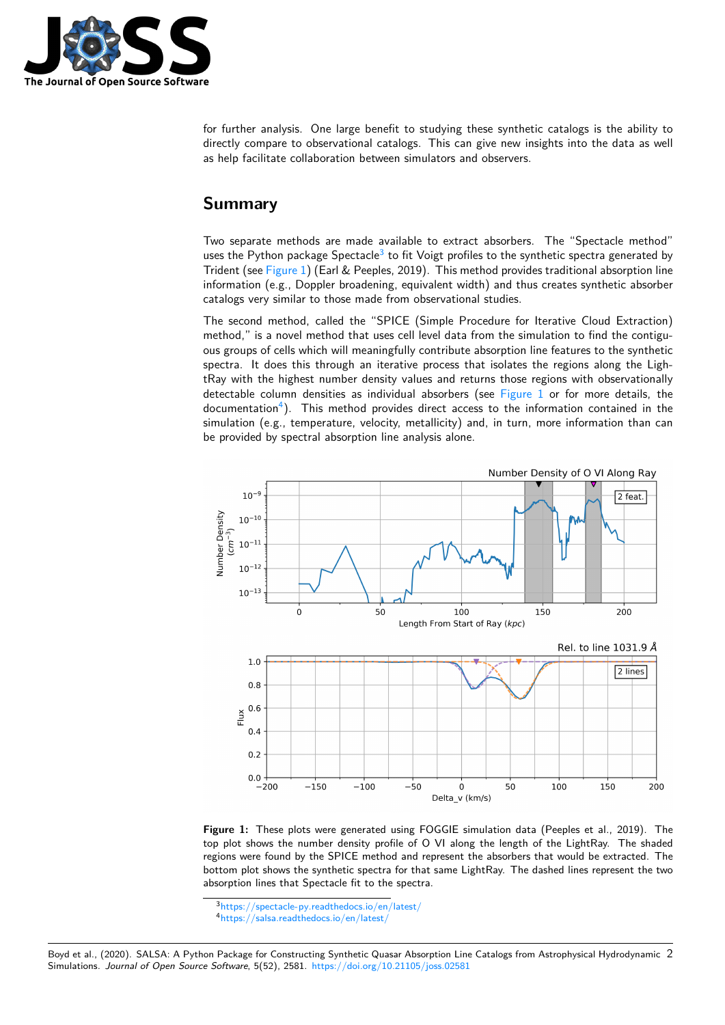

for further analysis. One large benefit to studying these synthetic catalogs is the ability to directly compare to observational catalogs. This can give new insights into the data as well as help facilitate collaboration between simulators and observers.

### **Summary**

Two separate methods are made available to extract absorbers. The "Spectacle method" uses the Python package Spectacle<sup>3</sup> to fit Voigt profiles to the synthetic spectra generated by Trident (see Figure 1) (Earl & Peeples, 2019). This method provides traditional absorption line information (e.g., Doppler broadening, equivalent width) and thus creates synthetic absorber catalogs very similar to those made from observational studies.

The second method, called the "[SP](#page-1-0)ICE (Simple Procedure for Iterative Cloud Extraction) method," is [a novel m](#page-1-1)ethod that uses cell level data from the simulation to find the contiguous groups of cells which will meaningfully contribute absorption line features to the synthetic spectra. It does this through an iterative process that isolates the regions along the LightRay with the highest number density values and returns those regions with observationally detectable column densities as individual absorbers (see Figure 1 or for more details, the documentation<sup>4</sup>). This method provides direct access to the information contained in the simulation (e.g., temperature, velocity, metallicity) and, in turn, more information than can be provided by spectral absorption line analysis alone.

<span id="page-1-1"></span>

**Figure 1:** These plots were generated using FOGGIE simulation data (Peeples et al., 2019). The top plot shows the number density profile of O VI along the length of the LightRay. The shaded regions were found by the SPICE method and represent the absorbers that would be extracted. The bottom plot shows the synthetic spectra for that same LightRay. The dashed lines represent the two absorption lines that Spectacle fit to the spectra.

Boyd et al., (2020). SALSA: A Python Package for Constructing Synthetic Quasar Absorption Line Catalogs from Astrophysical Hydrodynamic 2Simulations. *Journal of Open Source Software*, 5(52), 2581. [https://doi.org/10.21105/](https://spectacle-py.readthedocs.io/en/latest/)joss.02581

<sup>3</sup>https://spectacle-py.readthedocs.io/en/latest/

<span id="page-1-0"></span><sup>4</sup>https://salsa.readthedocs.io/en/latest/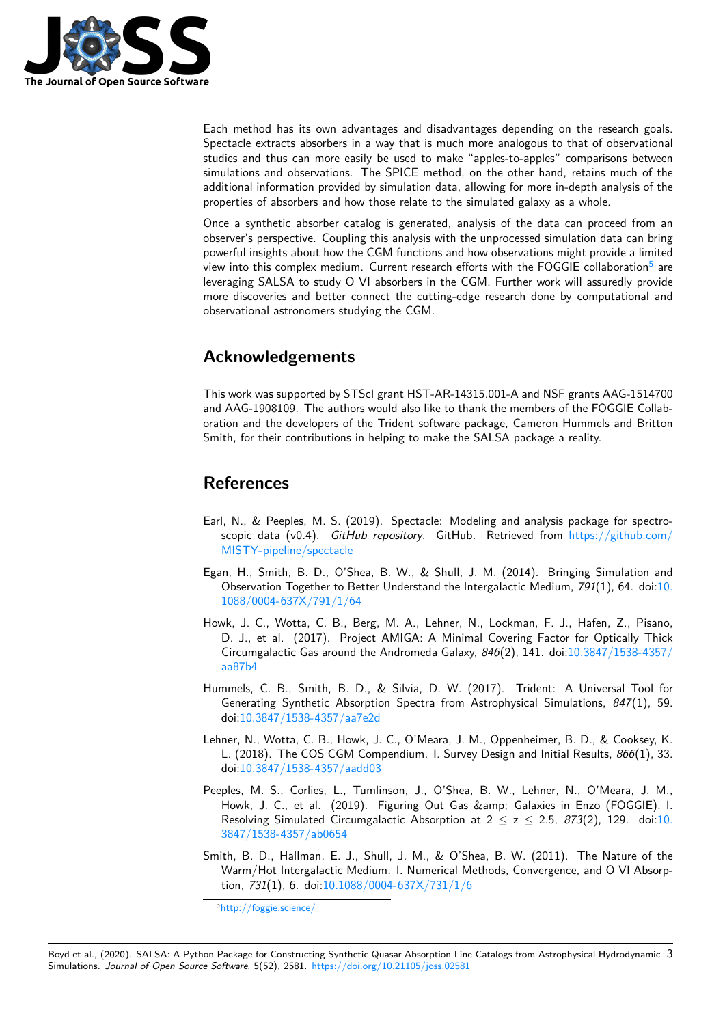

Each method has its own advantages and disadvantages depending on the research goals. Spectacle extracts absorbers in a way that is much more analogous to that of observational studies and thus can more easily be used to make "apples-to-apples" comparisons between simulations and observations. The SPICE method, on the other hand, retains much of the additional information provided by simulation data, allowing for more in-depth analysis of the properties of absorbers and how those relate to the simulated galaxy as a whole.

Once a synthetic absorber catalog is generated, analysis of the data can proceed from an observer's perspective. Coupling this analysis with the unprocessed simulation data can bring powerful insights about how the CGM functions and how observations might provide a limited view into this complex medium. Current research efforts with the FOGGIE collaboration<sup>5</sup> are leveraging SALSA to study O VI absorbers in the CGM. Further work will assuredly provide more discoveries and better connect the cutting-edge research done by computational and observational astronomers studying the CGM.

### **Acknowledgements**

This work was supported by STScI grant HST-AR-14315.001-A and NSF grants AAG-1514700 and AAG-1908109. The authors would also like to thank the members of the FOGGIE Collaboration and the developers of the Trident software package, Cameron Hummels and Britton Smith, for their contributions in helping to make the SALSA package a reality.

## **References**

- Earl, N., & Peeples, M. S. (2019). Spectacle: Modeling and analysis package for spectroscopic data (v0.4). *GitHub repository*. GitHub. Retrieved from https://github.com/ MISTY-pipeline/spectacle
- Egan, H., Smith, B. D., O'Shea, B. W., & Shull, J. M. (2014). Bringing Simulation and Observation Together to Better Understand the Intergalactic Medium, *791*[\(1\), 64. doi:10.](https://github.com/MISTY-pipeline/spectacle) [1088/0004-637X/791/1/6](https://github.com/MISTY-pipeline/spectacle)4
- Howk, J. C., Wotta, C. B., Berg, M. A., Lehner, N., Lockman, F. J., Hafen, Z., Pisano, D. J., et al. (2017). Project AMIGA: A Minimal Covering Factor for Optically Thick [Circumgalactic Gas around t](https://doi.org/10.1088/0004-637X/791/1/64)he Andromeda Galaxy, *846*(2), 141. doi:10.3847/1538-43[57/](https://doi.org/10.1088/0004-637X/791/1/64) aa87b4
- Hummels, C. B., Smith, B. D., & Silvia, D. W. (2017). Trident: A Universal Tool for Generating Synthetic Absorption Spectra from Astrophysical Simulations, *847*[\(1\), 59.](https://doi.org/10.3847/1538-4357/aa87b4) [doi:10.3](https://doi.org/10.3847/1538-4357/aa87b4)847/1538-4357/aa7e2d
- Lehner, N., Wotta, C. B., Howk, J. C., O'Meara, J. M., Oppenheimer, B. D., & Cooksey, K. L. (2018). The COS CGM Compendium. I. Survey Design and Initial Results, *866*(1), 33. doi[:10.3847/1538-4357/aadd03](https://doi.org/10.3847/1538-4357/aa7e2d)
- Peeples, M. S., Corlies, L., Tumlinson, J., O'Shea, B. W., Lehner, N., O'Meara, J. M., Howk, J. C., et al. (2019). Figuring Out Gas & amp; Galaxies in Enzo (FOGGIE). I. Resolving Simulated Circumgalactic Absorption at  $2 \le z \le 2.5$ ,  $873(2)$ , 129. doi:10. 384[7/1538-4357/ab0654](https://doi.org/10.3847/1538-4357/aadd03)
- Smith, B. D., Hallman, E. J., Shull, J. M., & O'Shea, B. W. (2011). The Nature of the Warm/Hot Intergalactic Medium. I. Numerical Methods, Convergence, and O VI Abs[orp](https://doi.org/10.3847/1538-4357/ab0654)tion, *731*[\(1\), 6. doi:10.10](https://doi.org/10.3847/1538-4357/ab0654)88/0004-637X/731/1/6

<sup>5</sup>http://foggie.science/

Boyd et al., (2020). SALSA: A Python Package for Constructin[g Synthetic Quasar Absorption Line](https://doi.org/10.1088/0004-637X/731/1/6) Catalogs from Astrophysical Hydrodynamic 3Simulations. *Journal of Open Source Software*[, 5\(52\), 2581.](http://foggie.science/) https://doi.org/10.21105/joss.02581